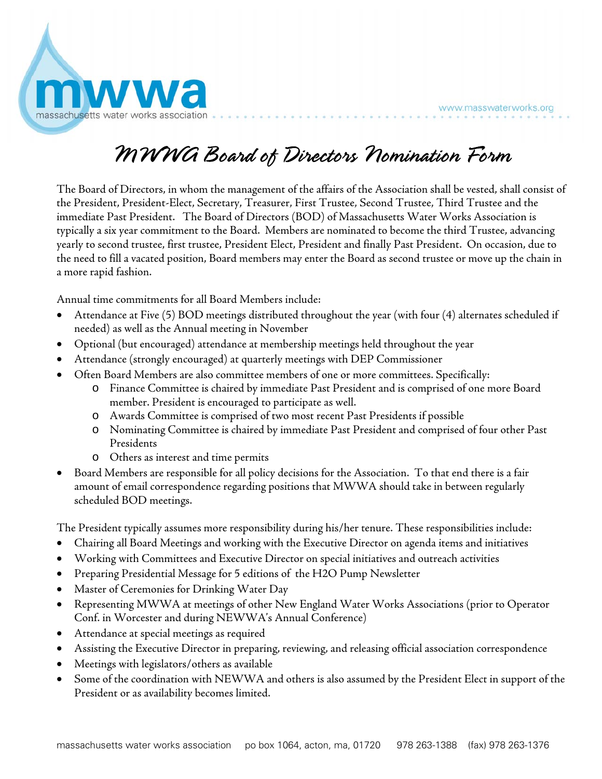

## MWWA Board of Directors Nomination Form

The Board of Directors, in whom the management of the affairs of the Association shall be vested, shall consist of the President, President-Elect, Secretary, Treasurer, First Trustee, Second Trustee, Third Trustee and the immediate Past President. The Board of Directors (BOD) of Massachusetts Water Works Association is typically a six year commitment to the Board. Members are nominated to become the third Trustee, advancing yearly to second trustee, first trustee, President Elect, President and finally Past President. On occasion, due to the need to fill a vacated position, Board members may enter the Board as second trustee or move up the chain in a more rapid fashion.

Annual time commitments for all Board Members include:

- Attendance at Five (5) BOD meetings distributed throughout the year (with four (4) alternates scheduled if needed) as well as the Annual meeting in November
- Optional (but encouraged) attendance at membership meetings held throughout the year
- Attendance (strongly encouraged) at quarterly meetings with DEP Commissioner
- Often Board Members are also committee members of one or more committees. Specifically:
	- o Finance Committee is chaired by immediate Past President and is comprised of one more Board member. President is encouraged to participate as well.
	- o Awards Committee is comprised of two most recent Past Presidents if possible
	- o Nominating Committee is chaired by immediate Past President and comprised of four other Past Presidents
	- o Others as interest and time permits
- Board Members are responsible for all policy decisions for the Association. To that end there is a fair amount of email correspondence regarding positions that MWWA should take in between regularly scheduled BOD meetings.

The President typically assumes more responsibility during his/her tenure. These responsibilities include:

- Chairing all Board Meetings and working with the Executive Director on agenda items and initiatives
- Working with Committees and Executive Director on special initiatives and outreach activities
- Preparing Presidential Message for 5 editions of the H2O Pump Newsletter
- Master of Ceremonies for Drinking Water Day
- Representing MWWA at meetings of other New England Water Works Associations (prior to Operator Conf. in Worcester and during NEWWA's Annual Conference)
- Attendance at special meetings as required
- Assisting the Executive Director in preparing, reviewing, and releasing official association correspondence
- Meetings with legislators/others as available
- Some of the coordination with NEWWA and others is also assumed by the President Elect in support of the President or as availability becomes limited.